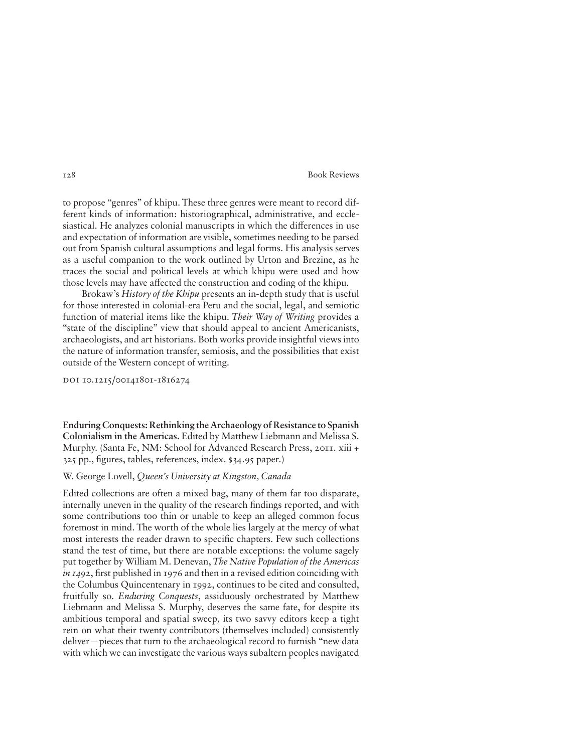## 128 Book Reviews

to propose "genres" of khipu. These three genres were meant to record different kinds of information: historiographical, administrative, and ecclesiastical. He analyzes colonial manuscripts in which the diferences in use and expectation of information are visible, sometimes needing to be parsed out from Spanish cultural assumptions and legal forms. His analysis serves as a useful companion to the work outlined by Urton and Brezine, as he traces the social and political levels at which khipu were used and how those levels may have afected the construction and coding of the khipu.

Brokaw's *History of the Khipu* presents an in-depth study that is useful for those interested in colonial-era Peru and the social, legal, and semiotic function of material items like the khipu. *Their Way of Writing* provides a "state of the discipline" view that should appeal to ancient Americanists, archaeologists, and art historians. Both works provide insightful views into the nature of information transfer, semiosis, and the possibilities that exist outside of the Western concept of writing.

DOI 10.1215/00141801-1816274

**Enduring Conquests: Rethinking the Archaeology of Resistance to Spanish Colonialism in the Americas.** Edited by Matthew Liebmann and Melissa S. Murphy. (Santa Fe, NM: School for Advanced Research Press, 2011. xiii + 325 pp., fgures, tables, references, index. \$34.95 paper.)

## W. George Lovell, *Queen's University at Kingston, Canada*

Edited collections are often a mixed bag, many of them far too disparate, internally uneven in the quality of the research fndings reported, and with some contributions too thin or unable to keep an alleged common focus foremost in mind. The worth of the whole lies largely at the mercy of what most interests the reader drawn to specifc chapters. Few such collections stand the test of time, but there are notable exceptions: the volume sagely put together by William M. Denevan, *The Native Population of the Americas in 1492*, frst published in 1976 and then in a revised edition coinciding with the Columbus Quincentenary in 1992, continues to be cited and consulted, fruitfully so. *Enduring Conquests*, assiduously orchestrated by Matthew Liebmann and Melissa S. Murphy, deserves the same fate, for despite its ambitious temporal and spatial sweep, its two savvy editors keep a tight rein on what their twenty contributors (themselves included) consistently deliver—pieces that turn to the archaeological record to furnish "new data with which we can investigate the various ways subaltern peoples navigated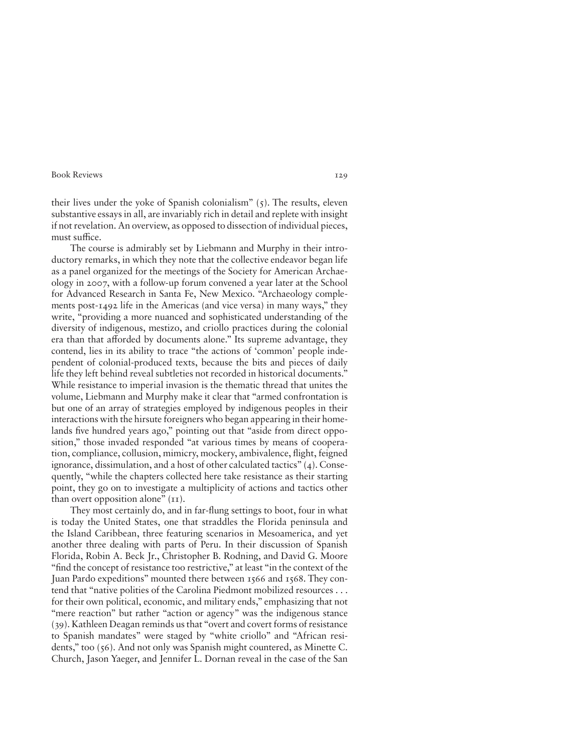their lives under the yoke of Spanish colonialism" (5). The results, eleven substantive essays in all, are invariably rich in detail and replete with insight if not revelation. An overview, as opposed to dissection of individual pieces, must suffice.

The course is admirably set by Liebmann and Murphy in their introductory remarks, in which they note that the collective endeavor began life as a panel organized for the meetings of the Society for American Archaeology in 2007, with a follow-up forum convened a year later at the School for Advanced Research in Santa Fe, New Mexico. "Archaeology complements post-1492 life in the Americas (and vice versa) in many ways," they write, "providing a more nuanced and sophisticated understanding of the diversity of indigenous, mestizo, and criollo practices during the colonial era than that aforded by documents alone." Its supreme advantage, they contend, lies in its ability to trace "the actions of 'common' people independent of colonial-produced texts, because the bits and pieces of daily life they left behind reveal subtleties not recorded in historical documents." While resistance to imperial invasion is the thematic thread that unites the volume, Liebmann and Murphy make it clear that "armed confrontation is but one of an array of strategies employed by indigenous peoples in their interactions with the hirsute foreigners who began appearing in their homelands fve hundred years ago," pointing out that "aside from direct opposition," those invaded responded "at various times by means of cooperation, compliance, collusion, mimicry, mockery, ambivalence, fight, feigned ignorance, dissimulation, and a host of other calculated tactics" (4). Consequently, "while the chapters collected here take resistance as their starting point, they go on to investigate a multiplicity of actions and tactics other than overt opposition alone" (11).

They most certainly do, and in far-fung settings to boot, four in what is today the United States, one that straddles the Florida peninsula and the Island Caribbean, three featuring scenarios in Mesoamerica, and yet another three dealing with parts of Peru. In their discussion of Spanish Florida, Robin A. Beck Jr., Christopher B. Rodning, and David G. Moore "fnd the concept of resistance too restrictive," at least "in the context of the Juan Pardo expeditions" mounted there between 1566 and 1568. They contend that "native polities of the Carolina Piedmont mobilized resources . . . for their own political, economic, and military ends," emphasizing that not "mere reaction" but rather "action or agency" was the indigenous stance (39). Kathleen Deagan reminds us that "overt and covert forms of resistance to Spanish mandates" were staged by "white criollo" and "African residents," too (56). And not only was Spanish might countered, as Minette C. Church, Jason Yaeger, and Jennifer L. Dornan reveal in the case of the San